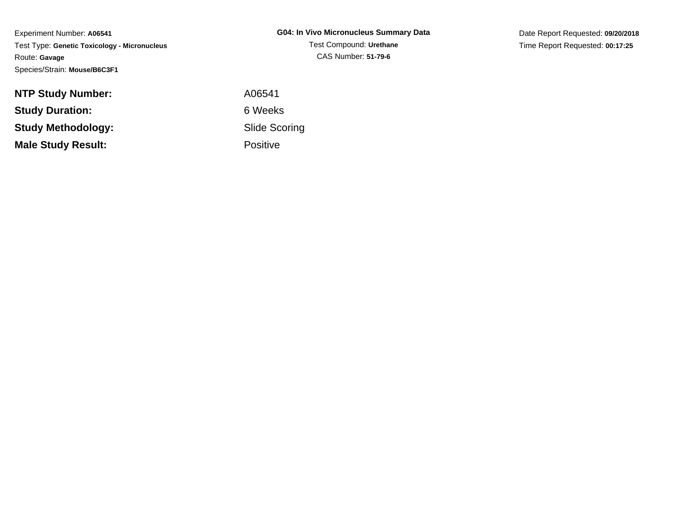Experiment Number: **A06541** Test Type: **Genetic Toxicology - Micronucleus**Route: **Gavage**Species/Strain: **Mouse/B6C3F1**

Date Report Requested: **09/20/2018**Time Report Requested: **00:17:25**

**NTP Study Number:Study Duration:Study Methodology:Male Study Result:**

 6 Weeks Slide ScoringPositive

A06541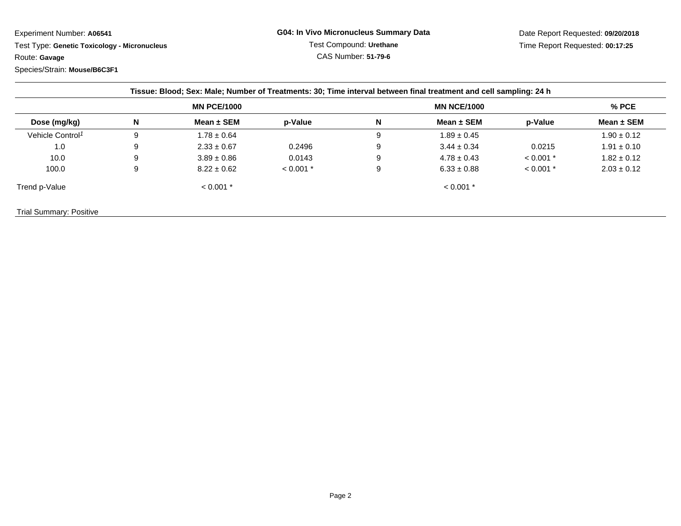Experiment Number: **A06541**

 Test Type: **Genetic Toxicology - Micronucleus**Route: **Gavage**

Species/Strain: **Mouse/B6C3F1**

|                              |                    |                 |             | Tissue: Blood; Sex: Male; Number of Treatments: 30; Time interval between final treatment and cell sampling: 24 h |                 |             |                 |
|------------------------------|--------------------|-----------------|-------------|-------------------------------------------------------------------------------------------------------------------|-----------------|-------------|-----------------|
|                              | <b>MN PCE/1000</b> |                 |             | <b>MN NCE/1000</b>                                                                                                |                 |             | $%$ PCE         |
| Dose (mg/kg)                 | N                  | Mean $\pm$ SEM  | p-Value     | N                                                                                                                 | Mean $\pm$ SEM  | p-Value     | Mean $\pm$ SEM  |
| Vehicle Control <sup>1</sup> | 9                  | $1.78 \pm 0.64$ |             |                                                                                                                   | $1.89 \pm 0.45$ |             | $1.90 \pm 0.12$ |
| 1.0                          | 9                  | $2.33 \pm 0.67$ | 0.2496      | 9                                                                                                                 | $3.44 \pm 0.34$ | 0.0215      | $1.91 \pm 0.10$ |
| 10.0                         | 9                  | $3.89 \pm 0.86$ | 0.0143      | 9                                                                                                                 | $4.78 \pm 0.43$ | $< 0.001$ * | $1.82 \pm 0.12$ |
| 100.0                        | 9                  | $8.22 \pm 0.62$ | $< 0.001$ * | 9                                                                                                                 | $6.33 \pm 0.88$ | $< 0.001$ * | $2.03 \pm 0.12$ |
| Trend p-Value                |                    | $< 0.001$ *     |             |                                                                                                                   | $< 0.001$ *     |             |                 |
|                              |                    |                 |             |                                                                                                                   |                 |             |                 |

Trial Summary: Positive